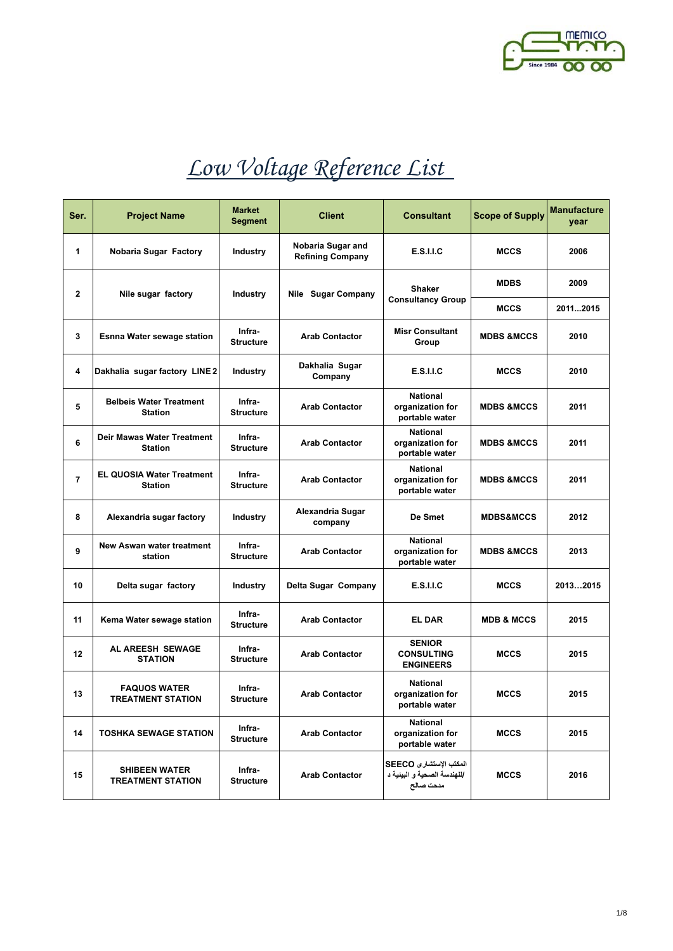

| Ser.           | <b>Project Name</b>                                | <b>Market</b><br>Segment   | <b>Client</b>                                | <b>Consultant</b>                                                  | <b>Scope of Supply</b> | <b>Manufacture</b><br>year |
|----------------|----------------------------------------------------|----------------------------|----------------------------------------------|--------------------------------------------------------------------|------------------------|----------------------------|
| 1              | Nobaria Sugar Factory                              | Industry                   | Nobaria Sugar and<br><b>Refining Company</b> | <b>E.S.I.I.C</b>                                                   | <b>MCCS</b>            | 2006                       |
| 2              | Nile sugar factory                                 | <b>Industry</b>            | <b>Nile Sugar Company</b>                    | <b>Shaker</b>                                                      | <b>MDBS</b>            | 2009                       |
|                |                                                    |                            |                                              | <b>Consultancy Group</b>                                           | <b>MCCS</b>            | 20112015                   |
| 3              | Esnna Water sewage station                         | Infra-<br><b>Structure</b> | <b>Arab Contactor</b>                        | <b>Misr Consultant</b><br>Group                                    | <b>MDBS &amp;MCCS</b>  | 2010                       |
| 4              | Dakhalia sugar factory LINE 2                      | <b>Industry</b>            | Dakhalia Sugar<br>Company                    | <b>E.S.I.I.C</b>                                                   | <b>MCCS</b>            | 2010                       |
| 5              | <b>Belbeis Water Treatment</b><br><b>Station</b>   | Infra-<br><b>Structure</b> | <b>Arab Contactor</b>                        | <b>National</b><br>organization for<br>portable water              | <b>MDBS &amp;MCCS</b>  | 2011                       |
| 6              | Deir Mawas Water Treatment<br><b>Station</b>       | Infra-<br><b>Structure</b> | <b>Arab Contactor</b>                        | <b>National</b><br>organization for<br>portable water              | <b>MDBS &amp;MCCS</b>  | 2011                       |
| $\overline{7}$ | <b>EL QUOSIA Water Treatment</b><br><b>Station</b> | Infra-<br><b>Structure</b> | <b>Arab Contactor</b>                        | <b>National</b><br>organization for<br>portable water              | <b>MDBS &amp;MCCS</b>  | 2011                       |
| 8              | Alexandria sugar factory                           | Industry                   | Alexandria Sugar<br>company                  | De Smet                                                            | <b>MDBS&amp;MCCS</b>   | 2012                       |
| 9              | New Aswan water treatment<br>station               | Infra-<br><b>Structure</b> | <b>Arab Contactor</b>                        | <b>National</b><br>organization for<br>portable water              | <b>MDBS &amp;MCCS</b>  | 2013                       |
| 10             | Delta sugar factory                                | <b>Industry</b>            | Delta Sugar Company                          | <b>E.S.I.I.C</b>                                                   | <b>MCCS</b>            | 20132015                   |
| 11             | Kema Water sewage station                          | Infra-<br><b>Structure</b> | <b>Arab Contactor</b>                        | <b>EL DAR</b>                                                      | <b>MDB &amp; MCCS</b>  | 2015                       |
| 12             | AL AREESH SEWAGE<br><b>STATION</b>                 | Infra-<br><b>Structure</b> | <b>Arab Contactor</b>                        | <b>SENIOR</b><br><b>CONSULTING</b><br><b>ENGINEERS</b>             | <b>MCCS</b>            | 2015                       |
| 13             | <b>FAQUOS WATER</b><br><b>TREATMENT STATION</b>    | Infra-<br><b>Structure</b> | <b>Arab Contactor</b>                        | National<br>organization for<br>portable water                     | <b>MCCS</b>            | 2015                       |
| 14             | <b>TOSHKA SEWAGE STATION</b>                       | Infra-<br><b>Structure</b> | <b>Arab Contactor</b>                        | National<br>organization for<br>portable water                     | <b>MCCS</b>            | 2015                       |
| 15             | <b>SHIBEEN WATER</b><br><b>TREATMENT STATION</b>   | Infra-<br><b>Structure</b> | <b>Arab Contactor</b>                        | المكتب الاستشارى SEECO<br>/للهندسة الصحية و البينية د<br>مدحت صالح | <b>MCCS</b>            | 2016                       |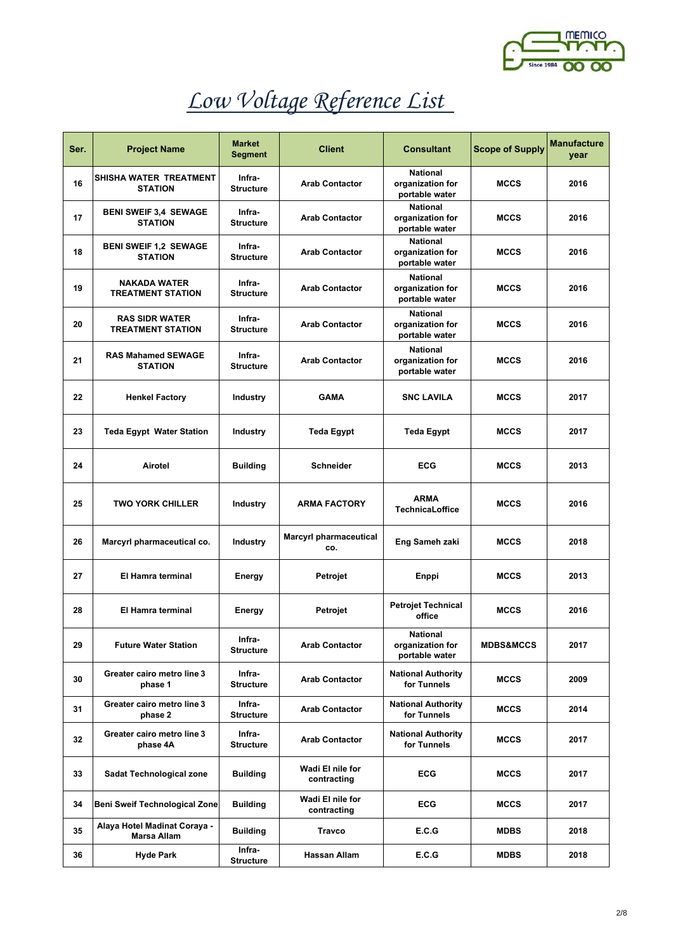

| Ser. | <b>Project Name</b>                               | <b>Market</b><br>Segment   | <b>Client</b>                        | <b>Consultant</b>                                     | <b>Scope of Supply</b> | <b>Manufacture</b><br>year |
|------|---------------------------------------------------|----------------------------|--------------------------------------|-------------------------------------------------------|------------------------|----------------------------|
| 16   | SHISHA WATER TREATMENT<br><b>STATION</b>          | Infra-<br><b>Structure</b> | <b>Arab Contactor</b>                | <b>National</b><br>organization for<br>portable water | <b>MCCS</b>            | 2016                       |
| 17   | <b>BENI SWEIF 3,4 SEWAGE</b><br><b>STATION</b>    | Infra-<br><b>Structure</b> | <b>Arab Contactor</b>                | <b>National</b><br>organization for<br>portable water | <b>MCCS</b>            | 2016                       |
| 18   | <b>BENI SWEIF 1,2 SEWAGE</b><br><b>STATION</b>    | Infra-<br><b>Structure</b> | <b>Arab Contactor</b>                | <b>National</b><br>organization for<br>portable water | <b>MCCS</b>            | 2016                       |
| 19   | <b>NAKADA WATER</b><br><b>TREATMENT STATION</b>   | Infra-<br><b>Structure</b> | <b>Arab Contactor</b>                | <b>National</b><br>organization for<br>portable water | <b>MCCS</b>            | 2016                       |
| 20   | <b>RAS SIDR WATER</b><br><b>TREATMENT STATION</b> | Infra-<br><b>Structure</b> | <b>Arab Contactor</b>                | <b>National</b><br>organization for<br>portable water | <b>MCCS</b>            | 2016                       |
| 21   | <b>RAS Mahamed SEWAGE</b><br><b>STATION</b>       | Infra-<br><b>Structure</b> | <b>Arab Contactor</b>                | <b>National</b><br>organization for<br>portable water | <b>MCCS</b>            | 2016                       |
| 22   | <b>Henkel Factory</b>                             | <b>Industry</b>            | <b>GAMA</b>                          | <b>SNC LAVILA</b>                                     | <b>MCCS</b>            | 2017                       |
| 23   | <b>Teda Egypt Water Station</b>                   | <b>Industry</b>            | <b>Teda Egypt</b>                    | <b>Teda Egypt</b>                                     | <b>MCCS</b>            | 2017                       |
| 24   | Airotel                                           | <b>Building</b>            | <b>Schneider</b>                     | ECG                                                   | <b>MCCS</b>            | 2013                       |
| 25   | <b>TWO YORK CHILLER</b>                           | <b>Industry</b>            | <b>ARMA FACTORY</b>                  | <b>ARMA</b><br>TechnicaLoffice                        | <b>MCCS</b>            | 2016                       |
| 26   | Marcyrl pharmaceutical co.                        | <b>Industry</b>            | <b>Marcyrl pharmaceutical</b><br>CO. | Eng Sameh zaki                                        | <b>MCCS</b>            | 2018                       |
| 27   | El Hamra terminal                                 | <b>Energy</b>              | Petrojet                             | Enppi                                                 | <b>MCCS</b>            | 2013                       |
| 28   | El Hamra terminal                                 | Energy                     | Petrojet                             | <b>Petrojet Technical</b><br>office                   | <b>MCCS</b>            | 2016                       |
| 29   | <b>Future Water Station</b>                       | Infra-<br><b>Structure</b> | <b>Arab Contactor</b>                | <b>National</b><br>organization for<br>portable water | <b>MDBS&amp;MCCS</b>   | 2017                       |
| 30   | Greater cairo metro line 3<br>phase 1             | Infra-<br><b>Structure</b> | <b>Arab Contactor</b>                | <b>National Authority</b><br>for Tunnels              | <b>MCCS</b>            | 2009                       |
| 31   | Greater cairo metro line 3<br>phase 2             | Infra-<br><b>Structure</b> | <b>Arab Contactor</b>                | <b>National Authority</b><br>for Tunnels              | <b>MCCS</b>            | 2014                       |
| 32   | Greater cairo metro line 3<br>phase 4A            | Infra-<br><b>Structure</b> | <b>Arab Contactor</b>                | <b>National Authority</b><br>for Tunnels              | <b>MCCS</b>            | 2017                       |
| 33   | Sadat Technological zone                          | <b>Building</b>            | Wadi El nile for<br>contracting      | <b>ECG</b>                                            | <b>MCCS</b>            | 2017                       |
| 34   | Beni Sweif Technological Zone                     | <b>Building</b>            | Wadi El nile for<br>contracting      | <b>ECG</b>                                            | <b>MCCS</b>            | 2017                       |
| 35   | Alaya Hotel Madinat Coraya -<br>Marsa Allam       | <b>Building</b>            | Travco                               | E.C.G                                                 | <b>MDBS</b>            | 2018                       |
| 36   | <b>Hyde Park</b>                                  | Infra-<br><b>Structure</b> | Hassan Allam                         | E.C.G                                                 | <b>MDBS</b>            | 2018                       |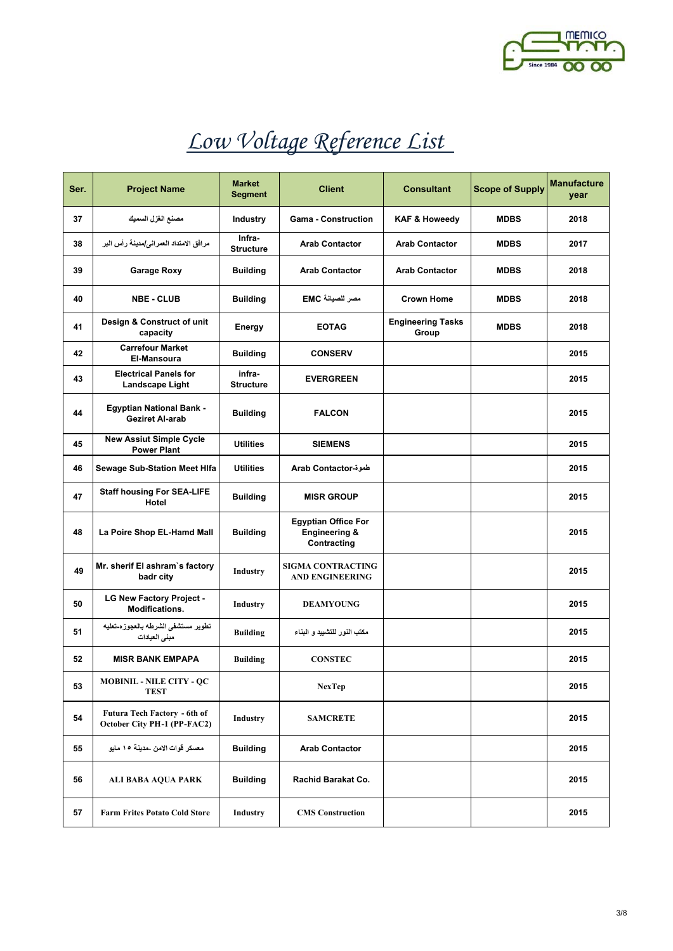

| Ser. | <b>Project Name</b>                                         | <b>Market</b><br>Segment   | <b>Client</b>                                                         | <b>Consultant</b>                 | <b>Scope of Supply</b> | <b>Manufacture</b><br>year |
|------|-------------------------------------------------------------|----------------------------|-----------------------------------------------------------------------|-----------------------------------|------------------------|----------------------------|
| 37   | مصنع الغزل السميك                                           | <b>Industry</b>            | <b>Gama - Construction</b>                                            | <b>KAF &amp; Howeedy</b>          | <b>MDBS</b>            | 2018                       |
| 38   | مرافق الامتداد العمراني/مدينة رأس البر                      | Infra-<br><b>Structure</b> | <b>Arab Contactor</b>                                                 | <b>Arab Contactor</b>             | <b>MDBS</b>            | 2017                       |
| 39   | <b>Garage Roxy</b>                                          | <b>Building</b>            | <b>Arab Contactor</b>                                                 | <b>Arab Contactor</b>             | <b>MDBS</b>            | 2018                       |
| 40   | <b>NBE - CLUB</b>                                           | <b>Building</b>            | مصر للصيانة EMC                                                       | <b>Crown Home</b>                 | <b>MDBS</b>            | 2018                       |
| 41   | Design & Construct of unit<br>capacity                      | Energy                     | <b>EOTAG</b>                                                          | <b>Engineering Tasks</b><br>Group | <b>MDBS</b>            | 2018                       |
| 42   | <b>Carrefour Market</b><br>El-Mansoura                      | <b>Building</b>            | <b>CONSERV</b>                                                        |                                   |                        | 2015                       |
| 43   | <b>Electrical Panels for</b><br>Landscape Light             | infra-<br><b>Structure</b> | <b>EVERGREEN</b>                                                      |                                   |                        | 2015                       |
| 44   | <b>Egyptian National Bank -</b><br>Geziret Al-arab          | <b>Building</b>            | <b>FALCON</b>                                                         |                                   |                        | 2015                       |
| 45   | <b>New Assiut Simple Cycle</b><br><b>Power Plant</b>        | <b>Utilities</b>           | <b>SIEMENS</b>                                                        |                                   |                        | 2015                       |
| 46   | Sewage Sub-Station Meet HIfa                                | <b>Utilities</b>           | طموة-Arab Contactor                                                   |                                   |                        | 2015                       |
| 47   | <b>Staff housing For SEA-LIFE</b><br>Hotel                  | <b>Building</b>            | <b>MISR GROUP</b>                                                     |                                   |                        | 2015                       |
| 48   | La Poire Shop EL-Hamd Mall                                  | <b>Building</b>            | <b>Egyptian Office For</b><br><b>Engineering &amp;</b><br>Contracting |                                   |                        | 2015                       |
| 49   | Mr. sherif El ashram's factory<br>badr city                 | Industry                   | <b>SIGMA CONTRACTING</b><br><b>AND ENGINEERING</b>                    |                                   |                        | 2015                       |
| 50   | <b>LG New Factory Project -</b><br>Modifications.           | Industry                   | <b>DEAMYOUNG</b>                                                      |                                   |                        | 2015                       |
| 51   | تطوير مستشفى الشرطه بالعجوزه-تعليه<br>مبنى العيادات         | <b>Building</b>            | مكتب النور للتشبيد و البناء                                           |                                   |                        | 2015                       |
| 52   | <b>MISR BANK EMPAPA</b>                                     | <b>Building</b>            | <b>CONSTEC</b>                                                        |                                   |                        | 2015                       |
| 53   | <b>MOBINIL - NILE CITY - QC</b><br><b>TEST</b>              |                            | <b>NexTep</b>                                                         |                                   |                        | 2015                       |
| 54   | Futura Tech Factory - 6th of<br>October City PH-1 (PP-FAC2) | Industry                   | <b>SAMCRETE</b>                                                       |                                   |                        | 2015                       |
| 55   | معسكر قوات الامن _مدينة ١٥ مايو                             | <b>Building</b>            | <b>Arab Contactor</b>                                                 |                                   |                        | 2015                       |
| 56   | ALI BABA AQUA PARK                                          | <b>Building</b>            | Rachid Barakat Co.                                                    |                                   |                        | 2015                       |
| 57   | <b>Farm Frites Potato Cold Store</b>                        | Industry                   | <b>CMS</b> Construction                                               |                                   |                        | 2015                       |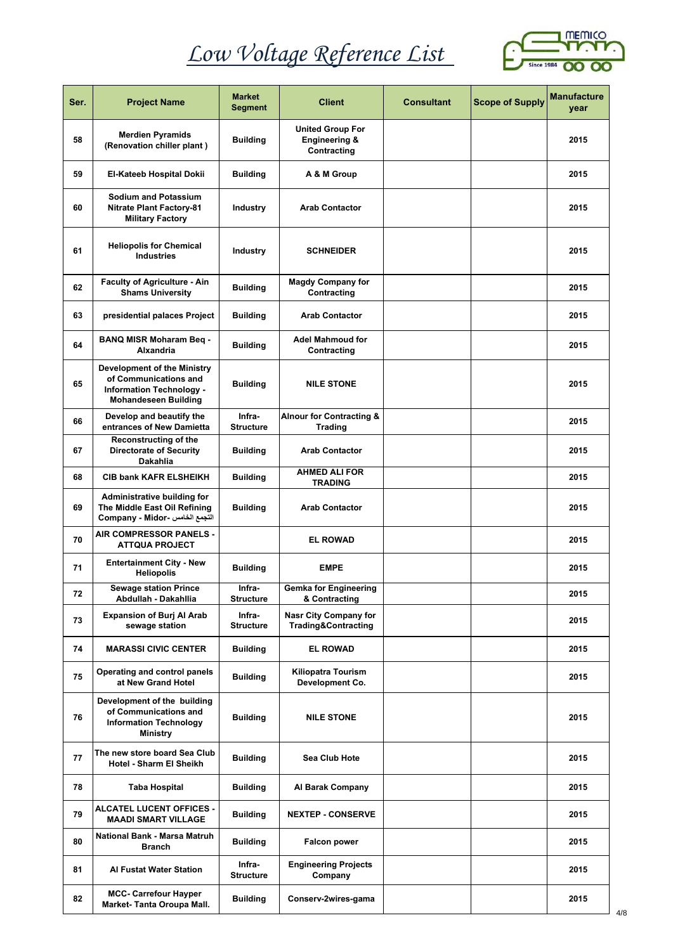

| Ser. | <b>Project Name</b>                                                                                                           | <b>Market</b><br><b>Segment</b> | <b>Client</b>                                                      | <b>Consultant</b> | <b>Scope of Supply</b> | <b>Manufacture</b><br>year |
|------|-------------------------------------------------------------------------------------------------------------------------------|---------------------------------|--------------------------------------------------------------------|-------------------|------------------------|----------------------------|
| 58   | <b>Merdien Pyramids</b><br>(Renovation chiller plant)                                                                         | <b>Building</b>                 | <b>United Group For</b><br><b>Engineering &amp;</b><br>Contracting |                   |                        | 2015                       |
| 59   | El-Kateeb Hospital Dokii                                                                                                      | <b>Building</b>                 | A & M Group                                                        |                   |                        | 2015                       |
| 60   | <b>Sodium and Potassium</b><br><b>Nitrate Plant Factory-81</b><br><b>Military Factory</b>                                     | Industry                        | <b>Arab Contactor</b>                                              |                   |                        | 2015                       |
| 61   | <b>Heliopolis for Chemical</b><br><b>Industries</b>                                                                           | Industry                        | <b>SCHNEIDER</b>                                                   |                   |                        | 2015                       |
| 62   | <b>Faculty of Agriculture - Ain</b><br><b>Shams University</b>                                                                | <b>Building</b>                 | <b>Magdy Company for</b><br>Contracting                            |                   |                        | 2015                       |
| 63   | presidential palaces Project                                                                                                  | <b>Building</b>                 | <b>Arab Contactor</b>                                              |                   |                        | 2015                       |
| 64   | <b>BANQ MISR Moharam Beq -</b><br><b>Alxandria</b>                                                                            | <b>Building</b>                 | <b>Adel Mahmoud for</b><br>Contracting                             |                   |                        | 2015                       |
| 65   | <b>Development of the Ministry</b><br>of Communications and<br><b>Information Technology -</b><br><b>Mohandeseen Building</b> | <b>Building</b>                 | <b>NILE STONE</b>                                                  |                   |                        | 2015                       |
| 66   | Develop and beautify the<br>entrances of New Damietta                                                                         | Infra-<br><b>Structure</b>      | <b>Alnour for Contracting &amp;</b><br><b>Trading</b>              |                   |                        | 2015                       |
| 67   | Reconstructing of the<br><b>Directorate of Security</b><br><b>Dakahlia</b>                                                    | <b>Building</b>                 | <b>Arab Contactor</b>                                              |                   |                        | 2015                       |
| 68   | <b>CIB bank KAFR ELSHEIKH</b>                                                                                                 | <b>Building</b>                 | <b>AHMED ALI FOR</b><br><b>TRADING</b>                             |                   |                        | 2015                       |
| 69   | <b>Administrative building for</b><br>The Middle East Oil Refining<br>التجمع الخامس - Company - Midor                         | <b>Building</b>                 | <b>Arab Contactor</b>                                              |                   |                        | 2015                       |
| 70   | AIR COMPRESSOR PANELS -<br><b>ATTQUA PROJECT</b>                                                                              |                                 | <b>EL ROWAD</b>                                                    |                   |                        | 2015                       |
| 71   | <b>Entertainment City - New</b><br><b>Heliopolis</b>                                                                          | <b>Building</b>                 | <b>EMPE</b>                                                        |                   |                        | 2015                       |
| 72   | <b>Sewage station Prince</b><br>Abdullah - Dakahllia                                                                          | Infra-<br><b>Structure</b>      | Gemka for Engineering<br>& Contracting                             |                   |                        | 2015                       |
| 73   | <b>Expansion of Burj Al Arab</b><br>sewage station                                                                            | Infra-<br><b>Structure</b>      | <b>Nasr City Company for</b><br><b>Trading&amp;Contracting</b>     |                   |                        | 2015                       |
| 74   | <b>MARASSI CIVIC CENTER</b>                                                                                                   | <b>Building</b>                 | <b>EL ROWAD</b>                                                    |                   |                        | 2015                       |
| 75   | Operating and control panels<br>at New Grand Hotel                                                                            | <b>Building</b>                 | <b>Kiliopatra Tourism</b><br>Development Co.                       |                   |                        | 2015                       |
| 76   | Development of the building<br>of Communications and<br><b>Information Technology</b><br>Ministry                             | <b>Building</b>                 | <b>NILE STONE</b>                                                  |                   |                        | 2015                       |
| 77   | The new store board Sea Club<br>Hotel - Sharm El Sheikh                                                                       | <b>Building</b>                 | Sea Club Hote                                                      |                   |                        | 2015                       |
| 78   | Taba Hospital                                                                                                                 | <b>Building</b>                 | Al Barak Company                                                   |                   |                        | 2015                       |
| 79   | ALCATEL LUCENT OFFICES -<br><b>MAADI SMART VILLAGE</b>                                                                        | <b>Building</b>                 | <b>NEXTEP - CONSERVE</b>                                           |                   |                        | 2015                       |
| 80   | National Bank - Marsa Matruh<br>Branch                                                                                        | <b>Building</b>                 | <b>Falcon power</b>                                                |                   |                        | 2015                       |
| 81   | <b>Al Fustat Water Station</b>                                                                                                | Infra-<br><b>Structure</b>      | <b>Engineering Projects</b><br>Company                             |                   |                        | 2015                       |
| 82   | <b>MCC- Carrefour Hayper</b><br>Market-Tanta Oroupa Mall.                                                                     | <b>Building</b>                 | Conserv-2wires-gama                                                |                   |                        | 2015                       |

4/8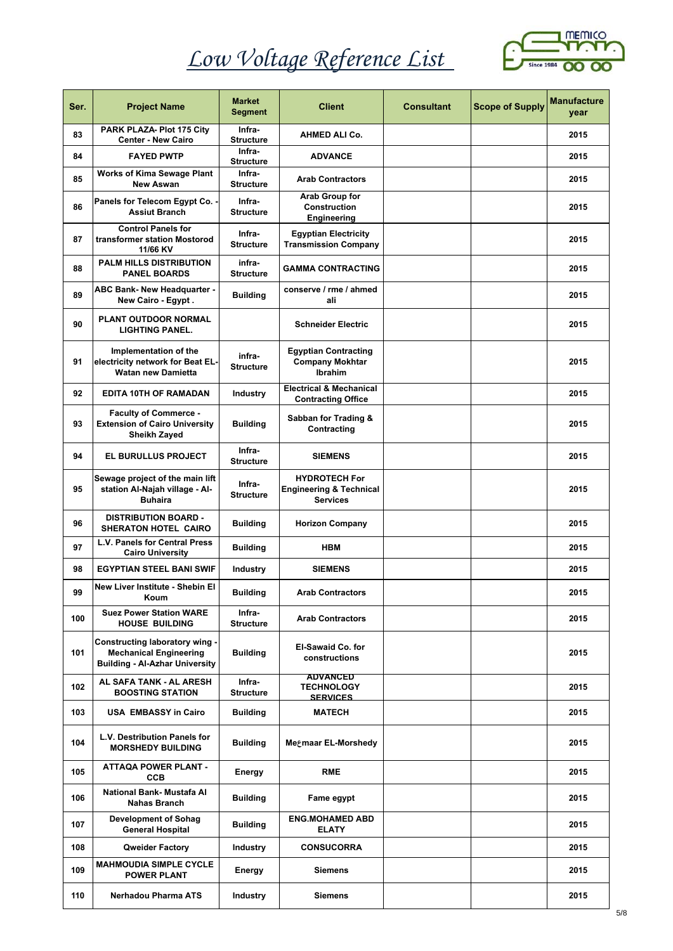

| Ser. | <b>Project Name</b>                                                                                      | <b>Market</b><br>Segment   | <b>Client</b>                                                                 | <b>Consultant</b> | <b>Scope of Supply</b> | <b>Manufacture</b><br>year |
|------|----------------------------------------------------------------------------------------------------------|----------------------------|-------------------------------------------------------------------------------|-------------------|------------------------|----------------------------|
| 83   | PARK PLAZA- Plot 175 City<br><b>Center - New Cairo</b>                                                   | Infra-<br><b>Structure</b> | AHMED ALI Co.                                                                 |                   |                        | 2015                       |
| 84   | <b>FAYED PWTP</b>                                                                                        | Infra-<br><b>Structure</b> | <b>ADVANCE</b>                                                                |                   |                        | 2015                       |
| 85   | <b>Works of Kima Sewage Plant</b><br><b>New Aswan</b>                                                    | Infra-<br><b>Structure</b> | <b>Arab Contractors</b>                                                       |                   |                        | 2015                       |
| 86   | Panels for Telecom Egypt Co. -<br><b>Assiut Branch</b>                                                   | Infra-<br><b>Structure</b> | Arab Group for<br><b>Construction</b><br>Engineering                          |                   |                        | 2015                       |
| 87   | <b>Control Panels for</b><br>transformer station Mostorod<br>11/66 KV                                    | Infra-<br><b>Structure</b> | <b>Egyptian Electricity</b><br><b>Transmission Company</b>                    |                   |                        | 2015                       |
| 88   | <b>PALM HILLS DISTRIBUTION</b><br><b>PANEL BOARDS</b>                                                    | infra-<br><b>Structure</b> | <b>GAMMA CONTRACTING</b>                                                      |                   |                        | 2015                       |
| 89   | <b>ABC Bank- New Headquarter -</b><br>New Cairo - Egypt.                                                 | <b>Building</b>            | conserve / rme / ahmed<br>ali                                                 |                   |                        | 2015                       |
| 90   | <b>PLANT OUTDOOR NORMAL</b><br><b>LIGHTING PANEL.</b>                                                    |                            | <b>Schneider Electric</b>                                                     |                   |                        | 2015                       |
| 91   | Implementation of the<br>electricity network for Beat EL-<br><b>Watan new Damietta</b>                   | infra-<br><b>Structure</b> | <b>Egyptian Contracting</b><br><b>Company Mokhtar</b><br><b>Ibrahim</b>       |                   |                        | 2015                       |
| 92   | <b>EDITA 10TH OF RAMADAN</b>                                                                             | <b>Industry</b>            | <b>Electrical &amp; Mechanical</b><br><b>Contracting Office</b>               |                   |                        | 2015                       |
| 93   | <b>Faculty of Commerce -</b><br><b>Extension of Cairo University</b><br>Sheikh Zayed                     | <b>Building</b>            | Sabban for Trading &<br>Contracting                                           |                   |                        | 2015                       |
| 94   | <b>EL BURULLUS PROJECT</b>                                                                               | Infra-<br><b>Structure</b> | <b>SIEMENS</b>                                                                |                   |                        | 2015                       |
| 95   | Sewage project of the main lift<br>station Al-Najah village - Al-<br><b>Buhaira</b>                      | Infra-<br><b>Structure</b> | <b>HYDROTECH For</b><br><b>Engineering &amp; Technical</b><br><b>Services</b> |                   |                        | 2015                       |
| 96   | <b>DISTRIBUTION BOARD -</b><br>SHERATON HOTEL CAIRO                                                      | <b>Building</b>            | <b>Horizon Company</b>                                                        |                   |                        | 2015                       |
| 97   | L.V. Panels for Central Press<br><b>Cairo University</b>                                                 | <b>Building</b>            | <b>HBM</b>                                                                    |                   |                        | 2015                       |
| 98   | <b>EGYPTIAN STEEL BANI SWIF</b>                                                                          | <b>Industry</b>            | SIEMENS                                                                       |                   |                        | 2015                       |
| 99   | New Liver Institute - Shebin El<br>Koum                                                                  | <b>Building</b>            | <b>Arab Contractors</b>                                                       |                   |                        | 2015                       |
| 100  | <b>Suez Power Station WARE</b><br><b>HOUSE BUILDING</b>                                                  | Infra-<br><b>Structure</b> | <b>Arab Contractors</b>                                                       |                   |                        | 2015                       |
| 101  | Constructing laboratory wing -<br><b>Mechanical Engineering</b><br><b>Building - Al-Azhar University</b> | <b>Building</b>            | <b>El-Sawaid Co. for</b><br>constructions                                     |                   |                        | 2015                       |
| 102  | AL SAFA TANK - AL ARESH<br><b>BOOSTING STATION</b>                                                       | Infra-<br><b>Structure</b> | <b>ADVANCED</b><br><b>TECHNOLOGY</b><br><b>SERVICES</b>                       |                   |                        | 2015                       |
| 103  | <b>USA EMBASSY in Cairo</b>                                                                              | <b>Building</b>            | <b>MATECH</b>                                                                 |                   |                        | 2015                       |
| 104  | L.V. Destribution Panels for<br><b>MORSHEDY BUILDING</b>                                                 | <b>Building</b>            | Megmaar EL-Morshedy                                                           |                   |                        | 2015                       |
| 105  | <b>ATTAQA POWER PLANT -</b><br><b>CCB</b>                                                                | Energy                     | <b>RME</b>                                                                    |                   |                        | 2015                       |
| 106  | National Bank- Mustafa Al<br><b>Nahas Branch</b>                                                         | <b>Building</b>            | Fame egypt                                                                    |                   |                        | 2015                       |
| 107  | <b>Development of Sohag</b><br><b>General Hospital</b>                                                   | <b>Building</b>            | <b>ENG.MOHAMED ABD</b><br><b>ELATY</b>                                        |                   |                        | 2015                       |
| 108  | Qweider Factory                                                                                          | <b>Industry</b>            | <b>CONSUCORRA</b>                                                             |                   |                        | 2015                       |
| 109  | <b>MAHMOUDIA SIMPLE CYCLE</b><br><b>POWER PLANT</b>                                                      | Energy                     | Siemens                                                                       |                   |                        | 2015                       |
| 110  | Nerhadou Pharma ATS                                                                                      | <b>Industry</b>            | Siemens                                                                       |                   |                        | 2015                       |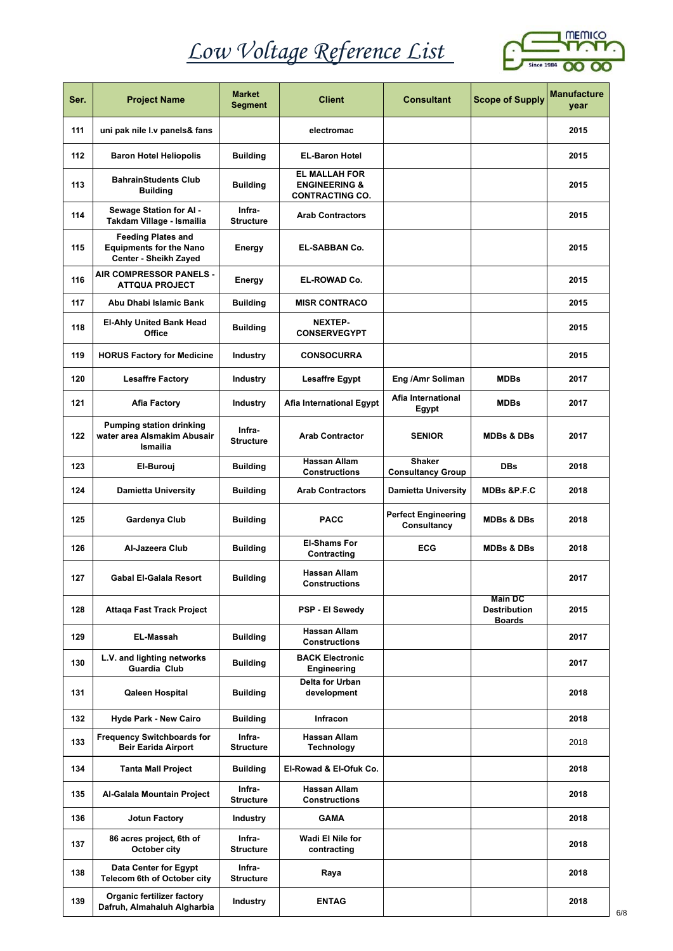

| Ser. | <b>Project Name</b>                                                                  | <b>Market</b><br><b>Segment</b> | <b>Client</b>                                                              | <b>Consultant</b>                         | <b>Scope of Supply</b>                                 | <b>Manufacture</b><br>vear |
|------|--------------------------------------------------------------------------------------|---------------------------------|----------------------------------------------------------------------------|-------------------------------------------|--------------------------------------------------------|----------------------------|
| 111  | uni pak nile I.v panels& fans                                                        |                                 | electromac                                                                 |                                           |                                                        | 2015                       |
| 112  | <b>Baron Hotel Heliopolis</b>                                                        | <b>Building</b>                 | <b>EL-Baron Hotel</b>                                                      |                                           |                                                        | 2015                       |
| 113  | <b>BahrainStudents Club</b><br><b>Building</b>                                       | <b>Building</b>                 | <b>EL MALLAH FOR</b><br><b>ENGINEERING &amp;</b><br><b>CONTRACTING CO.</b> |                                           |                                                        | 2015                       |
| 114  | Sewage Station for AI -<br>Takdam Village - Ismailia                                 | Infra-<br><b>Structure</b>      | <b>Arab Contractors</b>                                                    |                                           |                                                        | 2015                       |
| 115  | <b>Feeding Plates and</b><br><b>Equipments for the Nano</b><br>Center - Sheikh Zayed | Energy                          | <b>EL-SABBAN Co.</b>                                                       |                                           |                                                        | 2015                       |
| 116  | AIR COMPRESSOR PANELS -<br><b>ATTQUA PROJECT</b>                                     | Energy                          | <b>EL-ROWAD Co.</b>                                                        |                                           |                                                        | 2015                       |
| 117  | Abu Dhabi Islamic Bank                                                               | <b>Building</b>                 | <b>MISR CONTRACO</b>                                                       |                                           |                                                        | 2015                       |
| 118  | <b>El-Ahly United Bank Head</b><br>Office                                            | <b>Building</b>                 | <b>NEXTEP-</b><br><b>CONSERVEGYPT</b>                                      |                                           |                                                        | 2015                       |
| 119  | <b>HORUS Factory for Medicine</b>                                                    | <b>Industry</b>                 | <b>CONSOCURRA</b>                                                          |                                           |                                                        | 2015                       |
| 120  | <b>Lesaffre Factory</b>                                                              | <b>Industry</b>                 | <b>Lesaffre Egypt</b>                                                      | Eng /Amr Soliman                          | <b>MDBs</b>                                            | 2017                       |
| 121  | <b>Afia Factory</b>                                                                  | Industry                        | Afia International Egypt                                                   | Afia International<br>Egypt               | <b>MDBs</b>                                            | 2017                       |
| 122  | <b>Pumping station drinking</b><br>water area Alsmakim Abusair<br>Ismailia           | Infra-<br><b>Structure</b>      | <b>Arab Contractor</b>                                                     | <b>SENIOR</b>                             | <b>MDBs &amp; DBs</b>                                  | 2017                       |
| 123  | El-Burouj                                                                            | <b>Building</b>                 | <b>Hassan Allam</b><br><b>Constructions</b>                                | <b>Shaker</b><br><b>Consultancy Group</b> | <b>DBs</b>                                             | 2018                       |
| 124  | <b>Damietta University</b>                                                           | <b>Building</b>                 | <b>Arab Contractors</b>                                                    | <b>Damietta University</b>                | <b>MDBs &amp;P.F.C</b>                                 | 2018                       |
| 125  | Gardenya Club                                                                        | <b>Building</b>                 | <b>PACC</b>                                                                | <b>Perfect Engineering</b><br>Consultancy | <b>MDBs &amp; DBs</b>                                  | 2018                       |
| 126  | Al-Jazeera Club                                                                      | <b>Building</b>                 | <b>El-Shams For</b><br>Contracting                                         | <b>ECG</b>                                | <b>MDBs &amp; DBs</b>                                  | 2018                       |
| 127  | <b>Gabal El-Galala Resort</b>                                                        | <b>Building</b>                 | <b>Hassan Allam</b><br>Constructions                                       |                                           |                                                        | 2017                       |
| 128  | Attaga Fast Track Project                                                            |                                 | PSP - El Sewedy                                                            |                                           | <b>Main DC</b><br><b>Destribution</b><br><b>Boards</b> | 2015                       |
| 129  | <b>EL-Massah</b>                                                                     | <b>Building</b>                 | Hassan Allam<br><b>Constructions</b>                                       |                                           |                                                        | 2017                       |
| 130  | L.V. and lighting networks<br>Guardia Club                                           | <b>Building</b>                 | <b>BACK Electronic</b><br>Engineering                                      |                                           |                                                        | 2017                       |
| 131  | <b>Qaleen Hospital</b>                                                               | <b>Building</b>                 | Delta for Urban<br>development                                             |                                           |                                                        | 2018                       |
| 132  | <b>Hyde Park - New Cairo</b>                                                         | <b>Building</b>                 | Infracon                                                                   |                                           |                                                        | 2018                       |
| 133  | <b>Frequency Switchboards for</b><br><b>Beir Earida Airport</b>                      | Infra-<br><b>Structure</b>      | Hassan Allam<br><b>Technology</b>                                          |                                           |                                                        | 2018                       |
| 134  | <b>Tanta Mall Project</b>                                                            | <b>Building</b>                 | El-Rowad & El-Ofuk Co.                                                     |                                           |                                                        | 2018                       |
| 135  | Al-Galala Mountain Project                                                           | Infra-<br><b>Structure</b>      | Hassan Allam<br><b>Constructions</b>                                       |                                           |                                                        | 2018                       |
| 136  | <b>Jotun Factory</b>                                                                 | Industry                        | GAMA                                                                       |                                           |                                                        | 2018                       |
| 137  | 86 acres project, 6th of<br>October city                                             | Infra-<br><b>Structure</b>      | Wadi El Nile for<br>contracting                                            |                                           |                                                        | 2018                       |
| 138  | Data Center for Egypt<br>Telecom 6th of October city                                 | Infra-<br><b>Structure</b>      | Raya                                                                       |                                           |                                                        | 2018                       |
| 139  | Organic fertilizer factory<br>Dafruh, Almahaluh Algharbia                            | Industry                        | <b>ENTAG</b>                                                               |                                           |                                                        | 2018                       |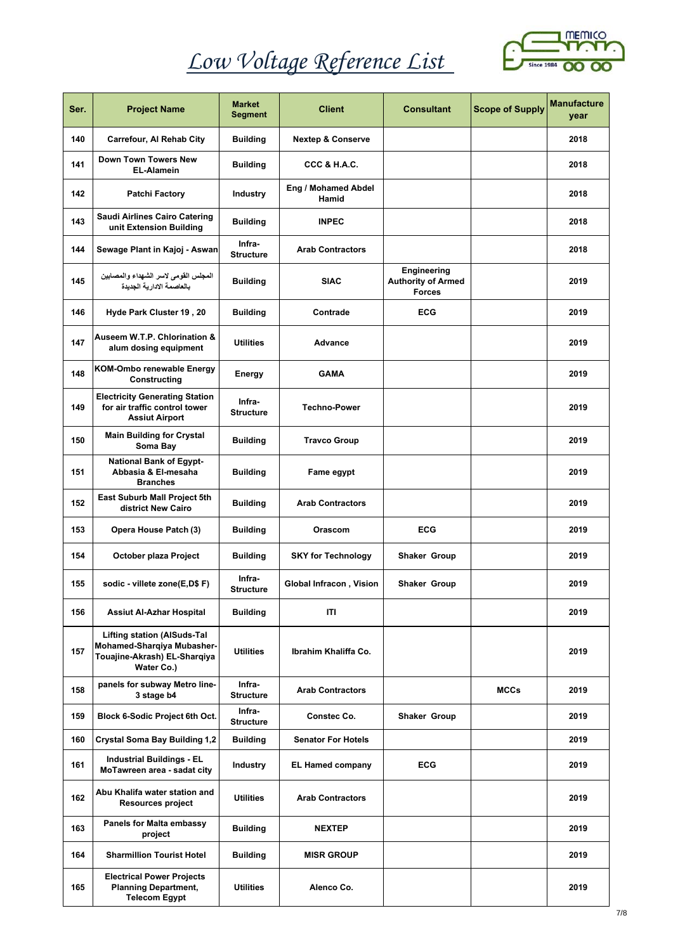

| Ser. | <b>Project Name</b>                                                                                            | <b>Market</b><br><b>Segment</b> | <b>Client</b>                | <b>Consultant</b>                                         | <b>Scope of Supply</b> | <b>Manufacture</b><br>year |
|------|----------------------------------------------------------------------------------------------------------------|---------------------------------|------------------------------|-----------------------------------------------------------|------------------------|----------------------------|
| 140  | Carrefour, Al Rehab City                                                                                       | <b>Building</b>                 | <b>Nextep &amp; Conserve</b> |                                                           |                        | 2018                       |
| 141  | <b>Down Town Towers New</b><br><b>EL-Alamein</b>                                                               | <b>Building</b>                 | CCC & H.A.C.                 |                                                           |                        | 2018                       |
| 142  | <b>Patchi Factory</b>                                                                                          | <b>Industry</b>                 | Eng / Mohamed Abdel<br>Hamid |                                                           |                        | 2018                       |
| 143  | <b>Saudi Airlines Cairo Catering</b><br>unit Extension Building                                                | <b>Building</b>                 | <b>INPEC</b>                 |                                                           |                        | 2018                       |
| 144  | Sewage Plant in Kajoj - Aswan                                                                                  | Infra-<br><b>Structure</b>      | <b>Arab Contractors</b>      |                                                           |                        | 2018                       |
| 145  | المجلس القومى لاسر الشهداء والمصابين<br>بالعاصمة الإدارية الجديدة                                              | <b>Building</b>                 | <b>SIAC</b>                  | Engineering<br><b>Authority of Armed</b><br><b>Forces</b> |                        | 2019                       |
| 146  | Hyde Park Cluster 19, 20                                                                                       | <b>Building</b>                 | Contrade                     | <b>ECG</b>                                                |                        | 2019                       |
| 147  | Auseem W.T.P. Chlorination &<br>alum dosing equipment                                                          | <b>Utilities</b>                | <b>Advance</b>               |                                                           |                        | 2019                       |
| 148  | <b>KOM-Ombo renewable Energy</b><br>Constructing                                                               | Energy                          | <b>GAMA</b>                  |                                                           |                        | 2019                       |
| 149  | <b>Electricity Generating Station</b><br>for air traffic control tower<br>Assiut Airport                       | Infra-<br><b>Structure</b>      | <b>Techno-Power</b>          |                                                           |                        | 2019                       |
| 150  | <b>Main Building for Crystal</b><br>Soma Bay                                                                   | <b>Building</b>                 | <b>Travco Group</b>          |                                                           |                        | 2019                       |
| 151  | <b>National Bank of Egypt-</b><br>Abbasia & El-mesaha<br><b>Branches</b>                                       | <b>Building</b>                 | Fame egypt                   |                                                           |                        | 2019                       |
| 152  | <b>East Suburb Mall Project 5th</b><br>district New Cairo                                                      | <b>Building</b>                 | <b>Arab Contractors</b>      |                                                           |                        | 2019                       |
| 153  | Opera House Patch (3)                                                                                          | <b>Building</b>                 | Orascom                      | <b>ECG</b>                                                |                        | 2019                       |
| 154  | October plaza Project                                                                                          | <b>Building</b>                 | <b>SKY for Technology</b>    | Shaker Group                                              |                        | 2019                       |
| 155  | sodic - villete zone(E,D\$F)                                                                                   | Infra-<br><b>Structure</b>      | Global Infracon, Vision      | Shaker Group                                              |                        | 2019                       |
| 156  | <b>Assiut Al-Azhar Hospital</b>                                                                                | <b>Building</b>                 | ITI                          |                                                           |                        | 2019                       |
| 157  | <b>Lifting station (AISuds-Tal</b><br>Mohamed-Sharqiya Mubasher-<br>Touajine-Akrash) EL-Sharqiya<br>Water Co.) | <b>Utilities</b>                | Ibrahim Khaliffa Co.         |                                                           |                        | 2019                       |
| 158  | panels for subway Metro line-<br>3 stage b4                                                                    | Infra-<br><b>Structure</b>      | <b>Arab Contractors</b>      |                                                           | <b>MCCs</b>            | 2019                       |
| 159  | Block 6-Sodic Project 6th Oct.                                                                                 | Infra-<br><b>Structure</b>      | Constec Co.                  | Shaker Group                                              |                        | 2019                       |
| 160  | <b>Crystal Soma Bay Building 1,2</b>                                                                           | <b>Building</b>                 | <b>Senator For Hotels</b>    |                                                           |                        | 2019                       |
| 161  | <b>Industrial Buildings - EL</b><br>MoTawreen area - sadat city                                                | Industry                        | <b>EL Hamed company</b>      | <b>ECG</b>                                                |                        | 2019                       |
| 162  | Abu Khalifa water station and<br><b>Resources project</b>                                                      | <b>Utilities</b>                | <b>Arab Contractors</b>      |                                                           |                        | 2019                       |
| 163  | <b>Panels for Malta embassy</b><br>project                                                                     | <b>Building</b>                 | <b>NEXTEP</b>                |                                                           |                        | 2019                       |
| 164  | <b>Sharmillion Tourist Hotel</b>                                                                               | <b>Building</b>                 | <b>MISR GROUP</b>            |                                                           |                        | 2019                       |
| 165  | <b>Electrical Power Projects</b><br><b>Planning Department,</b><br><b>Telecom Egypt</b>                        | <b>Utilities</b>                | Alenco Co.                   |                                                           |                        | 2019                       |